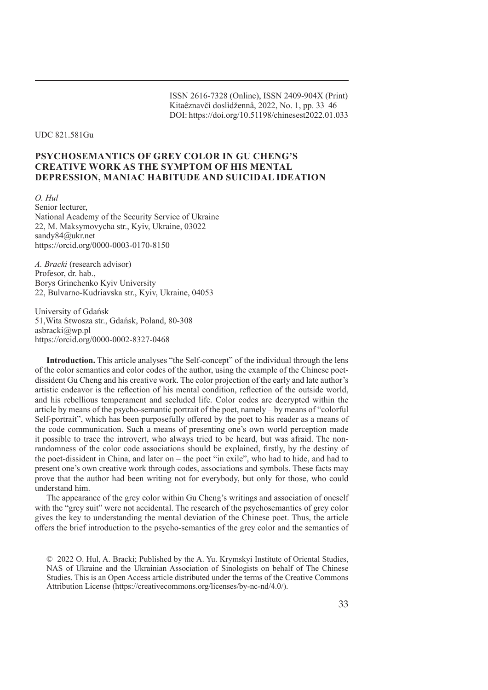ISSN 2616-7328 (Online), ISSN 2409-904X (Print) Kitaêznavčì doslìdžennâ, 2022, No. 1, pp. 33–46 DOI: https://doi.org/10.51198/chinesest2022.01.033

UDC 821.581Gu

# **PSYCHOSEMANTICS OF GREY COLOR IN GU CHENG'S CREATIVE WORK AS THE SYMPTOM OF HIS MENTAL DEPRESSION, MANIAC HABITUDE AND SUICIDAL IDEATION**

*O. Hul* Senior lecturer, National Academy of the Security Service of Ukraine 22, M. Maksymovycha str., Kyiv, Ukraine, 03022 sandy84@ukr.net https://orcid.org/0000-0003-0170-8150

*A. Bracki* (research advisor) Profesor, dr. hab., Borys Grinchenko Kyiv University 22, Bulvarno-Kudriavska str., Kyiv, Ukraine, 04053

University of Gdańsk 51,Wita Stwosza str., Gdańsk, Poland, 80-308 asbracki@wp.pl https://orcid.org/0000-0002-8327-0468

**Introduction.** This article analyses "the Self-concept" of the individual through the lens of the color semantics and color codes of the author, using the example of the Chinese poetdissident Gu Cheng and his creative work. The color projection of the early and late author's artistic endeavor is the reflection of his mental condition, reflection of the outside world, and his rebellious temperament and secluded life. Color codes are decrypted within the article by means of the psycho-semantic portrait of the poet, namely – by means of "colorful Self-portrait", which has been purposefully offered by the poet to his reader as a means of the code communication. Such a means of presenting one's own world perception made it possible to trace the introvert, who always tried to be heard, but was afraid. The nonrandomness of the color code associations should be explained, firstly, by the destiny of the poet-dissident in China, and later on – the poet "in exile", who had to hide, and had to present one's own creative work through codes, associations and symbols. These facts may prove that the author had been writing not for everybody, but only for those, who could understand him.

The appearance of the grey color within Gu Cheng's writings and association of oneself with the "grey suit" were not accidental. The research of the psychosemantics of grey color gives the key to understanding the mental deviation of the Chinese poet. Thus, the article offers the brief introduction to the psycho-semantics of the grey color and the semantics of

<sup>© 2022</sup> O. Hul, A. Bracki; Published by the A. Yu. Krymskyi Institute of Oriental Studies, NAS of Ukraine and the Ukrainian Association of Sinologists on behalf of The Chinese Studies. This is an Open Access article distributed under the terms of the Creative Commons Attribution License (https://creativecommons.org/licenses/by-nc-nd/4.0/).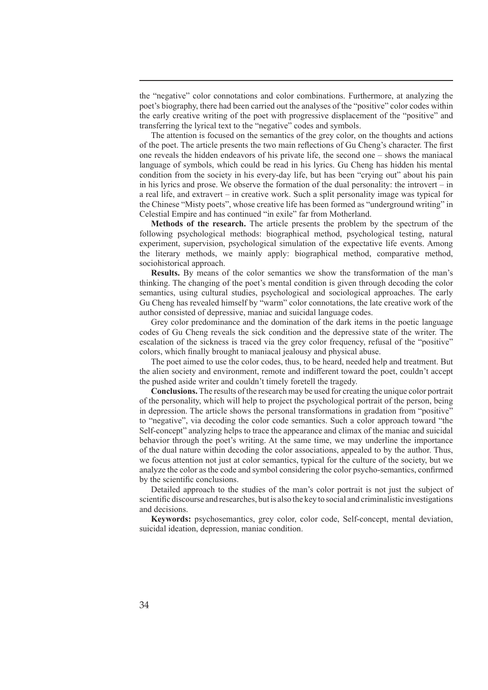the "negative" color connotations and color combinations. Furthermore, at analyzing the poet's biography, there had been carried out the analyses of the "positive" color codes within the early creative writing of the poet with progressive displacement of the "positive" and transferring the lyrical text to the "negative" codes and symbols.

The attention is focused on the semantics of the grey color, on the thoughts and actions of the poet. The article presents the two main reflections of Gu Cheng's character. The first one reveals the hidden endeavors of his private life, the second one – shows the maniacal language of symbols, which could be read in his lyrics. Gu Cheng has hidden his mental condition from the society in his every-day life, but has been "crying out" about his pain in his lyrics and prose. We observe the formation of the dual personality: the introvert – in a real life, and extravert – in creative work. Such a split personality image was typical for the Chinese "Misty poets", whose creative life has been formed as "underground writing" in Celestial Empire and has continued "in exile" far from Motherland.

**Methods of the research.** The article presents the problem by the spectrum of the following psychological methods: biographical method, psychological testing, natural experiment, supervision, psychological simulation of the expectative life events. Among the literary methods, we mainly apply: biographical method, comparative method, sociohistorical approach.

**Results.** By means of the color semantics we show the transformation of the man's thinking. The changing of the poet's mental condition is given through decoding the color semantics, using cultural studies, psychological and sociological approaches. The early Gu Cheng has revealed himself by "warm" color connotations, the late creative work of the author consisted of depressive, maniac and suicidal language codes.

Grey color predominance and the domination of the dark items in the poetic language codes of Gu Cheng reveals the sick condition and the depressive state of the writer. The escalation of the sickness is traced via the grey color frequency, refusal of the "positive" colors, which finally brought to maniacal jealousy and physical abuse.

The poet aimed to use the color codes, thus, to be heard, needed help and treatment. But the alien society and environment, remote and indifferent toward the poet, couldn't accept the pushed aside writer and couldn't timely foretell the tragedy.

**Conclusions.** The results of the research may be used for creating the unique color portrait of the personality, which will help to project the psychological portrait of the person, being in depression. The article shows the personal transformations in gradation from "positive" to "negative", via decoding the color code semantics. Such a color approach toward "the Self-concept" analyzing helps to trace the appearance and climax of the maniac and suicidal behavior through the poet's writing. At the same time, we may underline the importance of the dual nature within decoding the color associations, appealed to by the author. Thus, we focus attention not just at color semantics, typical for the culture of the society, but we analyze the color as the code and symbol considering the color psycho-semantics, confirmed by the scientific conclusions.

Detailed approach to the studies of the man's color portrait is not just the subject of scientific discourse and researches, but is also the key to social and criminalistic investigations and decisions.

**Keywords:** psychosemantics, grey color, color code, Self-concept, mental deviation, suicidal ideation, depression, maniac condition.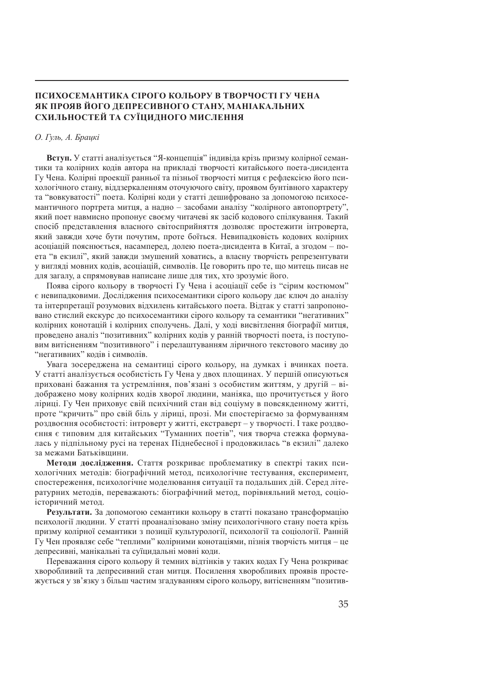# **ПСИХОСЕМАНТИКА СІРОГО КОЛЬОРУ В ТВОРЧОСТІ ГУ ЧЕНА ЯК ПРОЯВ ЙОГО ДЕПРЕСИВНОГО СТАНУ, МАНІАКАЛЬНИХ СХИЛЬНОСТЕЙ ТА СУЇЦИДНОГО МИСЛЕННЯ**

### *О. Гуль, А. Брацкі*

**Вступ.** У статті аналізується "Я-концепція" індивіда крізь призму колірної семантики та колірних кодів автора на прикладі творчості китайського поета-дисидента Гу Чена. Колірні проекції ранньої та пізньої творчості митця є рефлексією його психологічного стану, віддзеркаленням оточуючого світу, проявом бунтівного характеру та "вовкуватості" поета. Колірні коди у статті дешифровано за допомогою психосемантичного портрета митця, а надно – засобами аналізу "колірного автопортрету", який поет навмисно пропонує своєму читачеві як засіб кодового спілкування. Такий спосіб представлення власного світосприйняття дозволяє простежити інтроверта, який завжди хоче бути почутим, проте боїться. Невипадковість кодових колірних асоціацій пояснюється, насамперед, долею поета-дисидента в Китаї, а згодом – поета "в екзилі", який завжди змушений ховатись, а власну творчість репрезентувати у вигляді мовних кодів, асоціацій, символів. Це говорить про те, що митець писав не для загалу, а спрямовував написане лише для тих, хто зрозуміє його.

Поява сірого кольору в творчості Гу Чена і асоціації себе із "сірим костюмом" є невипадковими. Дослідження психосемантики сірого кольору дає ключ до аналізу та інтерпретації розумових відхилень китайського поета. Відтак у статті запропоновано стислий екскурс до психосемантики сірого кольору та семантики "негативних" колірних конотацій і колірних сполучень. Далі, у ході висвітлення біографії митця, проведено аналіз "позитивних" колірних кодів у ранній творчості поета, із поступовим витісненням "позитивного" і перелаштуванням ліричного текстового масиву до "негативних" кодів і символів.

Увага зосереджена на семантиці сірого кольору, на думках і вчинках поета. У статті аналізується особистість Гу Чена у двох площинах. У першій описуються приховані бажання та устремління, пов'язані з особистим життям, у другій – відображено мову колірних кодів хворої людини, маніяка, що прочитується у його ліриці. Гу Чен приховує свій психічний стан від соціуму в повсякденному житті, проте "кричить" про свій біль у ліриці, прозі. Ми спостерігаємо за формуванням роздвоєння особистості: інтроверт у житті, екстраверт – у творчості. І таке роздвоєння є типовим для китайських "Туманних поетів", чия творча стежка формувалась у підпільному русі на теренах Піднебесної і продовжилась "в екзилі" далеко за межами Батьківщини.

**Методи дослідження.** Стаття розкриває проблематику в спектрі таких психологічних методів: біографічний метод, психологічне тестування, експеримент, спостереження, психологічне моделювання ситуації та подальших дій. Серед літературних методів, переважають: біографічний метод, порівняльний метод, соціоісторичний метод.

**Результати.** За допомогою семантики кольору в статті показано трансформацію психології людини. У статті проаналізовано зміну психологічного стану поета крізь призму колірної семантики з позиції культурології, психології та соціології. Ранній Гу Чен проявляє себе "теплими" колірними конотаціями, пізнія творчість митця – це депресивні, манікальні та суїцидальні мовні коди.

Переважання сірого кольору й темних відтінків у таких кодах Гу Чена розкриває хворобливий та депресивний стан митця. Посилення хворобливих проявів простежується у зв'язку з більш частим згадуванням сірого кольору, витісненням "позитив-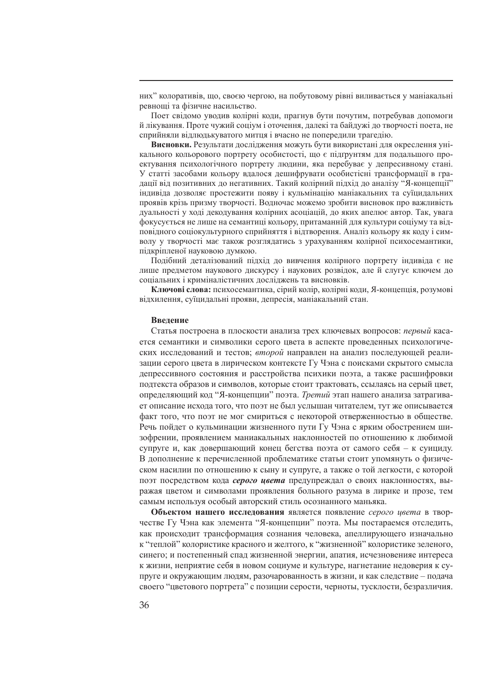них" колоративів, що, своєю чергою, на побутовому рівні виливається у маніакальні ревнощі та фізичне насильство.

Поет свідомо уводив колірні коди, прагнув бути почутим, потребував допомоги й лікування. Проте чужий соціум і оточення, далекі та байдужі до творчості поета, не сприйняли відлюдькуватого митця і вчасно не попередили трагедію.

**Висновки.** Результати дослідження можуть бути використані для окреслення унікального кольорового портрету особистості, що є підґрунтям для подальшого проектування психологічного портрету людини, яка перебуває у депресивному стані. У статті засобами кольору вдалося дешифрувати особистісні трансформації в градації від позитивних до негативних. Такий колірний підхід до аналізу "Я-концепції" індивіда дозволяє простежити появу і кульмінацію маніакальних та суїцидальних проявів крізь призму творчості. Водночас можемо зробити висновок про важливість дуальності у ході декодування колірних асоціацій, до яких апелює автор. Так, увага фокусується не лише на семантиці кольору, притаманній для культури соціуму та відповідного соціокультурного сприйняття і відтворення. Аналіз кольору як коду і символу у творчості має також розглядатись з урахуванням колірної психосемантики, підкріпленої науковою думкою.

Подібний деталізований підхід до вивчення колірного портрету індивіда є не лише предметом наукового дискурсу і наукових розвідок, але й слугує ключем до соціальних і криміналістичних досліджень та висновків.

**Ключові слова:** психосемантика, сірий колір, колірні коди, Я-концепція, розумові відхилення, суїцидальні прояви, депресія, маніакальний стан.

## **Введение**

Статья построена в плоскости анализа трех ключевых вопросов: *первый* касается семантики и символики серого цвета в аспекте проведенных психологических исследований и тестов; *второй* направлен на анализ последующей реализации серого цвета в лирическом контексте Гу Чэна с поисками скрытого смысла депрессивного состояния и расстройства психики поэта, а также расшифровки подтекста образов и символов, которые стоит трактовать, ссылаясь на серый цвет, определяющий код "Я-концепции" поэта. *Третий* этап нашего анализа затрагивает описание исхода того, что поэт не был услышан читателем, тут же описывается факт того, что поэт не мог смириться с некоторой отверженностью в обществе. Речь пойдет о кульминации жизненного пути Гу Чэна с ярким обострением шизофрении, проявлением маниакальных наклонностей по отношению к любимой супруге и, как довершающий конец бегства поэта от самого себя – к суициду. В дополнение к перечисленной проблематике статьи стоит упомянуть о физическом насилии по отношению к сыну и супруге, а также о той легкости, с которой поэт посредством кода *серого цвета* предупреждал о своих наклонностях, выражая цветом и символами проявления больного разума в лирике и прозе, тем самым используя особый авторский стиль осознанного маньяка.

**Объектом нашего исследования** является появление *серого цвета* в творчестве Гу Чэна как элемента "Я-концепции" поэта. Мы постараемся отследить, как происходит трансформация сознания человека, апеллирующего изначально к "теплой" колористике красного и желтого, к "жизненной" колористике зеленого, синего; и постепенный спад жизненной энергии, апатия, исчезновенияе интереса к жизни, неприятие себя в новом социуме и культуре, нагнетание недоверия к супруге и окружающим людям, разочарованность в жизни, и как следствие – подача своего "цветового портрета" с позиции серости, черноты, тусклости, безразличия.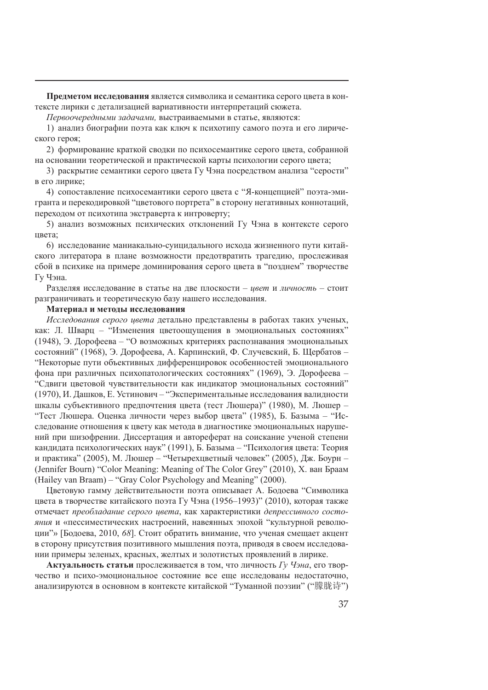**Предметом исследования** является символика и семантика серого цвета в контексте лирики с детализацией вариативности интерпретаций сюжета.

*Первоочередными задачами,* выстраиваемыми в статье, являются:

1) анализ биографии поэта как ключ к психотипу самого поэта и его лирического героя;

2) формирование краткой сводки по психосемантике серого цвета, собранной на основании теоретической и практической карты психологии серого цвета;

3) раскрытие семантики серого цвета Гу Чэна посредством анализа "серости" в его лирике;

4) сопоставление психосемантики серого цвета с "Я-концепцией" поэта-эмигранта и перекодировкой "цветового портрета" в сторону негативных коннотаций, переходом от психотипа экстраверта к интроверту;

5) анализ возможных психических отклонений Гу Чэна в контексте серого цвета;

6) исследование маниакально-суицидального исхода жизненного пути китайского литератора в плане возможности предотвратить трагедию, прослеживая сбой в психике на примере доминирования серого цвета в "позднем" творчестве Гу Чэна.

Разделяя исследование в статье на две плоскости – *цвет* и *личность* – стоит разграничивать и теоретическую базу нашего исследования.

## **Материал и методы исследования**

*Исследования серого цвета* детально представлены в работах таких ученых, как: Л. Шварц – "Изменения цветоощущения в эмоциональных состояниях" (1948), Э. Дорофеева – "О возможных критериях распознавания эмоциональных состояний" (1968), Э. Дорофеева, А. Карпинский, Ф. Случевский, Б. Щербатов – "Некоторые пути объективных дифференцировок особенностей эмоционального фона при различных психопатологических состояниях" (1969), Э. Дорофеева – "Сдвиги цветовой чувствительности как индикатор эмоциональных состояний" (1970), И. Дашков, Е. Устинович – "Экспериментальные исследования валидности шкалы субъективного предпочтения цвета (тест Люшера)" (1980), М. Люшер – "Тест Люшера. Оценка личности через выбор цвета" (1985), Б. Базыма – "Исследование отношения к цвету как метода в диагностике эмоциональных нарушений при шизофрении. Диссертация и автореферат на соискание ученой степени кандидата психологических наук" (1991), Б. Базыма – "Психология цвета: Теория и практика" (2005), М. Люшер – "Четырехцветный человек" (2005), Дж. Боурн – (Jennifer Bourn) "Color Meaning: Meaning of The Color Grey" (2010), Х. ван Браам (Hailey van Braam) – "Gray Color Psychology and Meaning" (2000).

Цветовую гамму действительности поэта описывает А. Бодоева "Символика цвета в творчестве китайского поэта Гу Чэна (1956–1993)" (2010), которая также отмечает *преобладание серого цвета*, как характеристики *депрессивного состояния* и «пессиместических настроений, навеянных эпохой "культурной революции"» [Бодоева, 2010, *68*]. Стоит обратить внимание, что ученая смещает акцент в сторону присутствия позитивного мышления поэта, приводя в своем исследовании примеры зеленых, красных, желтых и золотистых проявлений в лирике.

**Актуальность статьи** прослеживается в том, что личность *Гу Чэна*, его творчество и психо-эмоциональное состояние все еще исследованы недостаточно, анализируются в основном в контексте китайской "Туманной поэзии" ("朦胧诗")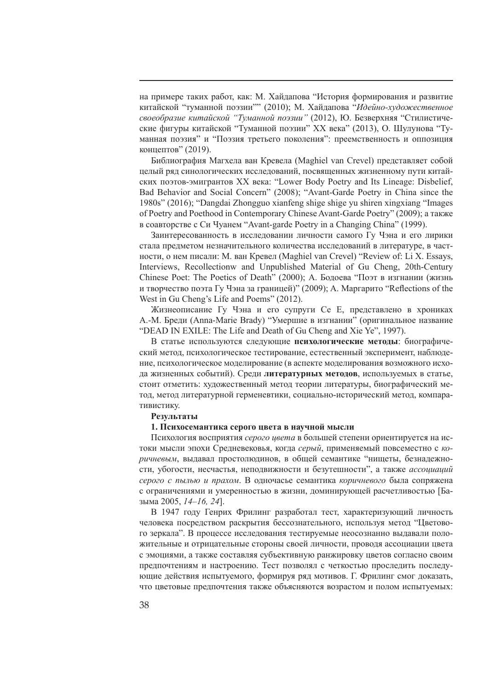на примере таких работ, как: М. Хайдапова "История формирования и развитие китайской "туманной поэзии"" (2010); М. Хайдапова "*Идейно-художественное своеобразие китайской "Туманной поэзии"* (2012), Ю. Безверхняя "Стилистические фигуры китайской "Туманной поэзии" ХХ века" (2013), О. Шулунова "Туманная поэзия" и "Поэзия третьего поколения": преемственность и оппозиция концептов" (2019).

Библиография Магхела ван Кревела (Maghiel van Crevel) представляет собой целый ряд синологических исследований, посвященных жизненному пути китайских поэтов-эмигрантов ХХ века: "Lower Body Poetry and Its Lineage: Disbelief, Bad Behavior and Social Concern" (2008); "Avant-Garde Poetry in China since the 1980s" (2016); "Dangdai Zhongguo xianfeng shige shige yu shiren xingxiang "Images of Poetry and Poethood in Contemporary Chinese Avant-Garde Poetry" (2009); а также в соавторстве с Си Чуанем "Avant-garde Poetry in a Changing China" (1999).

Заинтересованность в исследовании личности самого Гу Чэна и его лирики стала предметом незначительного количества исследований в литературе, в частности, о нем писали: М. ван Кревел (Maghiel van Crevel) "Review of: Li X. Essays, Interviews, Recollectionw and Unpublished Material of Gu Cheng, 20th-Century Chinese Poet: The Poetics of Death" (2000); А. Бодоева "Поэт в изгнании (жизнь и творчество поэта Гу Чэна за границей)" (2009); A. Маргарито "Reflections of the West in Gu Cheng's Life and Poems" (2012).

Жизнеописание Гу Чэна и его супруги Се Е, представлено в хрониках А.-М. Бреди (Anna-Marie Brady) "Умершие в изгнании" (оригинальное название "DEAD IN EXILE: The Life and Death of Gu Cheng and Xie Ye", 1997).

В статье используются следующие **психологические методы**: биографический метод, психологическое тестирование, естественный эксперимент, наблюдение, психологическое моделирование (в аспекте моделирования возможного исхода жизненных событий). Среди **литературных методов**, используемых в статье, стоит отметить: художественный метод теории литературы, биографический метод, метод литературной герменевтики, социально-исторический метод, компаративистику.

#### **Результаты**

### **1. Психосемантика серого цвета в научной мысли**

Психология восприятия *серого цвета* в большей степени ориентируется на истоки мысли эпохи Средневековья, когда *серый*, применяемый повсеместно с *коричневым*, выдавал простолюдинов, в общей семантике "нищеты, безнадежности, убогости, несчастья, неподвижности и безутешности", а также *ассоциаций серого с пылью и прахом*. В одночасье семантика *коричневого* была сопряжена с ограничениями и умеренностью в жизни, доминирующей расчетливостью [Базыма 2005, *14–16, 24*].

В 1947 году Генрих Фрилинг разработал тест, характеризующий личность человека посредством раскрытия бессознательного, используя метод "Цветового зеркала". В процессе исследования тестируемые неосознанно выдавали положительные и отрицательные стороны своей личности, проводя ассоциации цвета с эмоциями, а также составляя субъективную ранжировку цветов согласно своим предпочтениям и настроению. Тест позволял с четкостью проследить последующие действия испытуемого, формируя ряд мотивов. Г. Фрилинг смог доказать, что цветовые предпочтения также объясняются возрастом и полом испытуемых: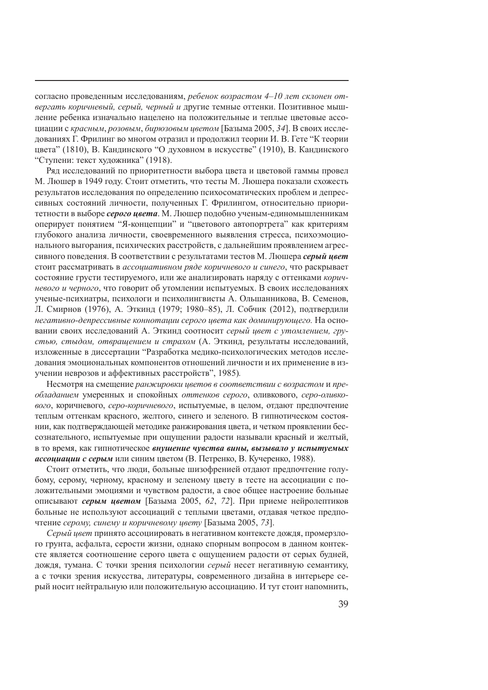согласно проведенным исследованиям, *ребенок возрастом 4–10 лет склонен отвергать коричневый, серый, черный и* другие темные оттенки. Позитивное мышление ребенка изначально нацелено на положительные и теплые цветовые ассоциации с *красным*, *розовым*, *бирюзовым цветом* [Базыма 2005, *34*]. В своих исследованиях Г. Фрилинг во многом отразил и продолжил теории И. В. Гете "К теории цвета" (1810), В. Кандинского "О духовном в искусстве" (1910), В. Кандинского "Ступени: текст художника" (1918).

Ряд исследований по приоритетности выбора цвета и цветовой гаммы провел М. Люшер в 1949 году. Стоит отметить, что тесты М. Люшера показали схожесть результатов исследования по определению психосоматических проблем и депрессивных состояний личности, полученных Г. Фрилингом, относительно приоритетности в выборе *серого цвета*. М. Люшер подобно ученым-единомышленникам оперирует понятием "Я-концепции" и "цветового автопортрета" как критериям глубокого анализа личности, своевременного выявления стресса, психоэмоционального выгорания, психических расстройств, с дальнейшим проявлением агрессивного поведения. В соответствии с результатами тестов М. Люшера *серый цвет* стоит рассматривать в *ассоциативном ряде коричневого и синего*, что раскрывает состояние грусти тестируемого, или же анализировать наряду с оттенками *коричневого и черного*, что говорит об утомлении испытуемых. В своих исследованиях ученые-психиатры, психологи и психолингвисты А. Ольшанникова, В. Семенов, Л. Смирнов (1976), А. Эткинд (1979; 1980–85), Л. Собчик (2012), подтвердили *негативно-депрессивные коннотации серого цвета как доминирующего.* На основании своих исследований А. Эткинд соотносит *серый цвет с утомлением, грустью, стыдом, отвращением и страхом* (А. Эткинд, результаты исследований, изложенные в диссертации "Разработка медико-психологических методов исследования эмоциональных компонентов отношений личности и их применение в изучении неврозов и аффективных расстройств", 1985)*.*

Несмотря на смещение *ранжировки цветов в соответствии с возрастом* и *преобладанием* умеренных и спокойных *оттенков серого*, оливкового, *серо-оливкового*, коричневого, *серо-коричневого*, испытуемые, в целом, отдают предпочтение теплым оттенкам красного, желтого, синего и зеленого. В гипнотическом состоянии, как подтверждающей методике ранжирования цвета, и четком проявлении бессознательного, испытуемые при ощущении радости называли красный и желтый, в то время, как гипнотическое *внушение чувства вины, вызывало у испытуемых ассоциации с серым* или синим цветом (В. Петренко, В. Кучеренко, 1988).

Стоит отметить, что люди, больные шизофренией отдают предпочтение голубому, серому, черному, красному и зеленому цвету в тесте на ассоциации с положительными эмоциями и чувством радости, а свое общее настроение больные описывают *серым цветом* [Базыма 2005, *62*, *72*]. При приеме нейролептиков больные не используют ассоциаций с теплыми цветами, отдавая четкое предпочтение *серому, синему и коричневому цвету* [Базыма 2005, *73*].

*Серый цвет* принято ассоциировать в негативном контексте дождя, промерзлого грунта, асфальта, серости жизни, однако спорным вопросом в данном контексте является соотношение серого цвета с ощущением радости от серых будней, дождя, тумана. С точки зрения психологии *серый* несет негативную семантику, а с точки зрения искусства, литературы, современного дизайна в интерьере серый носит нейтральную или положительную ассоциацию. И тут стоит напомнить,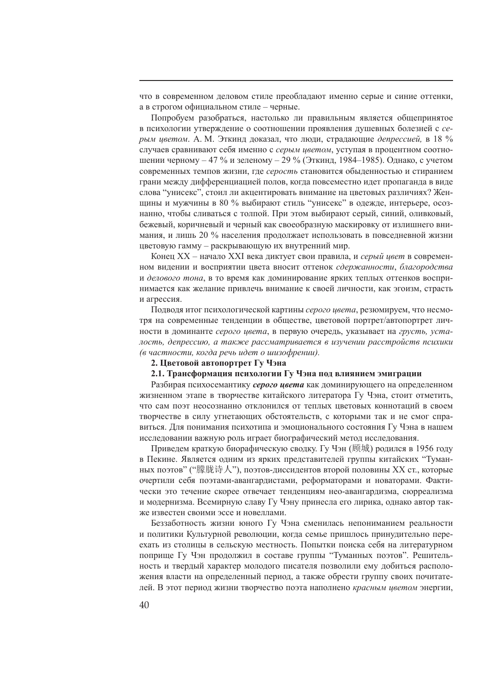что в современном деловом стиле преобладают именно серые и синие оттенки, а в строгом официальном стиле – черные.

Попробуем разобраться, настолько ли правильным является общепринятое в психологии утверждение о соотношении проявления душевных болезней с *серым цветом*. А. М. Эткинд доказал, что люди, страдающие *депрессией,* в 18 % случаев сравнивают себя именно с *серым цветом*, уступая в процентном соотношении черному  $-47$  % и зеленому  $-29$  % (Эткинд, 1984–1985). Однако, с учетом современных темпов жизни, где *серость* становится обыденностью и стиранием грани между дифференциацией полов, когда повсеместно идет пропаганда в виде слова "унисекс", стоил ли акцентировать внимание на цветовых различиях? Женщины и мужчины в 80 % выбирают стиль "унисекс" в одежде, интерьере, осознанно, чтобы сливаться с толпой. При этом выбирают серый, синий, оливковый, бежевый, коричневый и черный как своеобразную маскировку от излишнего внимания, и лишь 20 % населения продолжает использовать в повседневной жизни цветовую гамму – раскрывающую их внутренний мир.

Конец XX – начало XXI века диктует свои правила, и *серый цвет* в современном видении и восприятии цвета вносит оттенок *сдержанности*, *благородства* и *делового тона*, в то время как доминирование ярких теплых оттенков воспринимается как желание привлечь внимание к своей личности, как эгоизм, страсть и агрессия.

Подводя итог психологической картины *серого цвета*, резюмируем, что несмотря на современные тенденции в обществе, цветовой портрет/автопортрет личности в доминанте *серого цвета*, в первую очередь, указывает на *грусть, усталость, депрессию, а также рассматривается в изучении расстройств психики (в частности, когда речь идет о шизофрении).*

### **2. Цветовой автопортрет Гу Чэна**

## **2.1. Трансформация психологии Гу Чэна под влиянием эмиграции**

Разбирая психосемантику *серого цвета* как доминирующего на определенном жизненном этапе в творчестве китайского литератора Гу Чэна, стоит отметить, что сам поэт неосознанно отклонился от теплых цветовых коннотаций в своем творчестве в силу угнетающих обстоятельств, с которыми так и не смог справиться. Для понимания психотипа и эмоционального состояния Гу Чэна в нашем исследовании важную роль играет биографический метод исследования.

Приведем краткую биорафическую сводку. Гу Чэн (顾城) родился в 1956 году в Пекине. Является одним из ярких представителей группы китайских "Туманных поэтов" ("朦胧诗人"), поэтов-диссидентов второй половины ХХ ст., которые очертили себя поэтами-авангардистами, реформаторами и новаторами. Фактически это течение скорее отвечает тенденциям нео-авангардизма, сюрреализма и модернизма. Всемирную славу Гу Чэну принесла его лирика, однако автор также известен своими эссе и новеллами.

Беззаботность жизни юного Гу Чэна сменилась непониманием реальности и политики Культурной революции, когда семье пришлось принудительно переехать из столицы в сельскую местность. Попытки поиска себя на литературном поприще Гу Чэн продолжил в составе группы "Туманных поэтов". Решительность и твердый характер молодого писателя позволили ему добиться расположения власти на определенный период, а также обрести группу своих почитателей. В этот период жизни творчество поэта наполнено *красным цветом* энергии,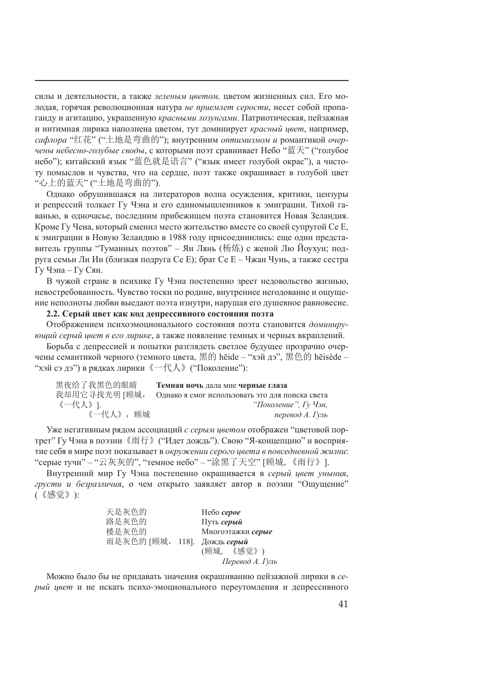силы и деятельности, а также *зеленым цветом,* цветом жизненных сил. Его молодая, горячая революционная натура *не приемлет серости*, несет собой пропаганду и агитацию, украшенную *красными лозунгами*. Патриотическая, пейзажная и интимная лирика наполнена цветом, тут доминирует *красный цвет*, например, *сафлора* "红花" ("土地是弯曲的"); внутренним *оптимизмом и* романтикой *очерчены небесно-голубые своды*, с которыми поэт сравнивает Небо "蓝天" ("голубое небо"); китайский язык "蓝色就是语言" ("язык имеет голубой окрас"), а чистоту помыслов и чувства, что на сердце, поэт также окрашивает в голубой цвет "心上的蓝天" ("土地是弯曲的").

Однако обрушившаяся на литераторов волна осуждения, критики, цензуры и репрессий толкает Гу Чэна и его единомышленников к эмиграции. Тихой гаванью, в одночасье, последним прибежищем поэта становится Новая Зеландия. Кроме Гу Чена, который сменил место жительство вместе со своей супругой Се Е, к эмиграции в Новую Зеландию в 1988 году присоединились: еще один представитель группы "Туманных поэтов" – Ян Лянь (杨炼) с женой Лю Йоухун; подруга семьи Ли Ин (близкая подруга Се Е); брат Се Е – Чжан Чунь, а также сестра Гу Чэна – Гу Сян.

В чужой стране в психике Гу Чэна постепенно зреет недовольство жизнью, невостребованность. Чувство тоски по родине, внутреннее негодование и ощущение неполноты любви выедают поэта изнутри, нарушая его душевное равновесие.

# **2.2. Серый цвет как код депрессивного состояния поэта**

Отображением психоэмоционального состояния поэта становится *доминирующий серый цвет в его лирике*, а также появление темных и черных вкраплений.

Борьба с депрессией и попытки разглядеть светлое будущее прозрачно очерчены семантикой черного (темного цвета, 黑的 hēide – "хэй дэ", 黑色的 hēisède – "хэй сэ дэ") в рядках лирики《一代人》("Поколение"):

| 黑夜给了我黑色的眼睛    | Темная ночь дала мне черные глаза               |
|---------------|-------------------------------------------------|
| 我却用它寻找光明 [顾城, | Однако я смог использовать это для поиска света |
| 《一代人》].       | "Поколение". Гу Чэн.                            |
| 《一代人》, 顾城     | перевод А. Гуль                                 |

Уже негативным рядом ассоциаций *с серым цветом* отображен "цветовой портрет" Гу Чэна в поэзии《雨行》("Идет дождь"). Свою "Я-концепцию" и восприятие себя в мире поэт показывает в *окружении серого цвета в повседневной жизни*: "серые тучи" – "云灰灰的", "темное небо" – "涂黑了天空" [顾城,《雨行》].

Внутренний мир Гу Чэна постепенно окрашивается в *серый цвет уныния*, *грусти и безразличия*, о чем открыто заявляет автор в поэзии "Ощущение" (《感觉》):

| 天是灰色的                        | Hebo cepoe        |
|------------------------------|-------------------|
| 路是灰色的                        | Путь серый        |
| 楼是灰色的                        | Многоэтажки серые |
| 雨是灰色的 [顾城, 118]. Дождь серый |                   |
|                              | (顾城, 《感觉》)        |
|                              | Перевод А. Гуль   |

Можно было бы не придавать значения окрашиванию пейзажной лирики в *серый цвет* и не искать психо-эмоционального переутомления и депрессивного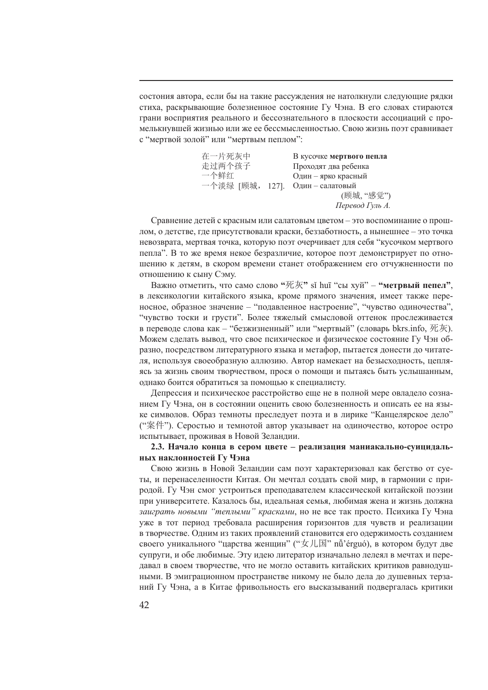состония автора, если бы на такие рассуждения не натолкнули следующие рядки стиха, раскрывающие болезненное состояние Гу Чэна. В его словах стираются грани восприятия реального и бессознательного в плоскости ассоциаций с промелькнувшей жизнью или же ее бессмысленностью. Свою жизнь поэт сравнивает с "мертвой золой" или "мертвым пеплом":

| В кусочке мертвого пепла       |
|--------------------------------|
| Проходят два ребенка           |
| Один - ярко красный            |
| 一个淡绿 [顾城, 127]. Один-салатовый |
| (顾城, "感觉")                     |
| Перевод Гуль А.                |
|                                |

Сравнение детей с красным или салатовым цветом – это воспоминание о прошлом, о детстве, где присутствовали краски, беззаботность, а нынешнее – это точка невозврата, мертвая точка, которую поэт очерчивает для себя "кусочком мертвого пепла". В то же время некое безразличие, которое поэт демонстрирует по отношению к детям, в скором времени станет отображением его отчужненности по отношению к сыну Сэму.

Важно отметить, что само слово **"**死灰**"** sǐ huī "сы хуй" – **"метрвый пепел"**, в лексикологии китайского языка, кроме прямого значения, имеет также переносное, образное значение – "подавленное настроение", "чувство одиночества", "чувство тоски и грусти". Более тяжелый смысловой оттенок прослеживается в переводе слова как – "безжизненный" или "мертвый" (словарь bkrs.info, 死灰). Можем сделать вывод, что свое психическое и физическое состояние Гу Чэн образно, посредством литературного языка и метафор, пытается донести до читателя, используя своеобразную аллюзию. Автор намекает на безысходность, цепляясь за жизнь своим творчеством, прося о помощи и пытаясь быть услышанным, однако боится обратиться за помощью к специалисту.

Депрессия и психическое расстройство еще не в полной мере овладело сознанием Гу Чэна, он в состоянии оценить свою болезненность и описать ее на языке символов. Образ темноты преследует поэта и в лирике "Канцелярское дело" ("案件"). Серостью и темнотой автор указывает на одиночество, которое остро испытывает, проживая в Новой Зеландии.

# **2.3. Начало конца в сером цвете – реализация маниакально-суицидальных наклонностей Гу Чэна**

Свою жизнь в Новой Зеландии сам поэт характеризовал как бегство от суеты, и перенаселенности Китая. Он мечтал создать свой мир, в гармонии с природой. Гу Чэн смог устроиться преподавателем классической китайской поэзии при университете. Казалось бы, идеальная семья, любимая жена и жизнь должна *заиграть новыми "теплыми" красками*, но не все так просто. Психика Гу Чэна уже в тот период требовала расширения горизонтов для чувств и реализации в творчестве. Одним из таких проявлений становится его одержимость созданием своего уникального "царства женщин" ("女儿国" nǚ'érguó), в котором будут две супруги, и обе любимые. Эту идею литератор изначально лелеял в мечтах и передавал в своем творчестве, что не могло оставить китайских критиков равнодушными. В эмиграционном пространстве никому не было дела до душевных терзаний Гу Чэна, а в Китае фривольность его высказываний подвергалась критики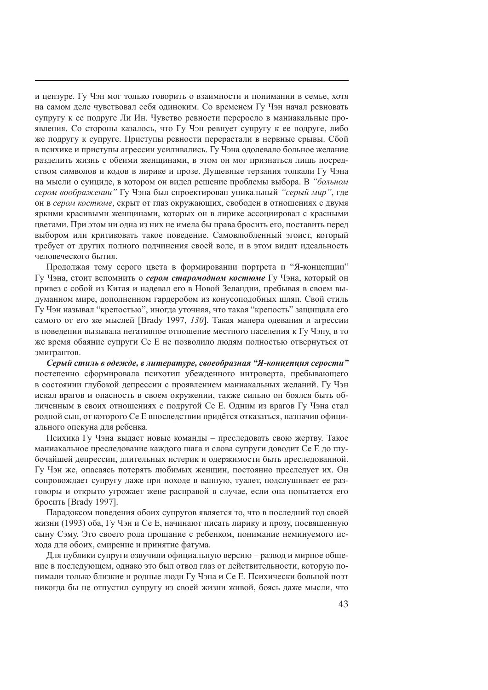и цензуре. Гу Чэн мог только говорить о взаимности и понимании в семье, хотя на самом деле чувствовал себя одиноким. Со временем Гу Чэн начал ревновать супругу к ее подруге Ли Ин. Чувство ревности переросло в маниакальные проявления. Со стороны казалось, что Гу Чэн ревнует супругу к ее подруге, либо же подругу к супруге. Приступы ревности перерастали в нервные срывы. Сбой в психике и приступы агрессии усиливались. Гу Чэна одолевало больное желание разделить жизнь с обеими женщинами, в этом он мог признаться лишь посредством символов и кодов в лирике и прозе. Душевные терзания толкали Гу Чэна на мысли о суициде, в котором он видел решение проблемы выбора. В *"больном сером воображении"* Гу Чэна был спроектирован уникальный *"серый мир"*, где он в *сером костюме*, скрыт от глаз окружающих, свободен в отношениях с двумя яркими красивыми женщинами, которых он в лирике ассоциировал с красными цветами. При этом ни одна из них не имела бы права бросить его, поставить перед выбором или критиковать такое поведение. Самовлюбленный эгоист, который требует от других полного подчинения своей воле, и в этом видит идеальность человеческого бытия.

Продолжая тему серого цвета в формировании портрета и "Я-концепции" Гу Чэна, стоит вспомнить о *сером старомодном костюме* Гу Чэна, который он привез с собой из Китая и надевал его в Новой Зеландии, пребывая в своем выдуманном мире, дополненном гардеробом из конусоподобных шляп. Свой стиль Гу Чэн называл "крепостью", иногда уточняя, что такая "крепость" защищала его самого от его же мыслей [Brady 1997, *130*]. Такая манера одевания и агрессии в поведении вызывала негативное отношение местного населения к Гу Чэну, в то же время обаяние супруги Се Е не позволило людям полностью отвернуться от эмигрантов.

*Серый стиль в одежде, в литературе, своеобразная "Я-концепция серости"*  постепенно сформировала психотип убежденного интроверта, пребывающего в состоянии глубокой депрессии с проявлением маниакальных желаний. Гу Чэн искал врагов и опасность в своем окружении, также сильно он боялся быть обличенным в своих отношениях с подругой Се Е. Одним из врагов Гу Чэна стал родной сын, от которого Се Е впоследствии придётся отказаться, назначив официального опекуна для ребенка.

Психика Гу Чэна выдает новые команды – преследовать свою жертву. Такое маниакальное преследование каждого шага и слова супруги доводит Се Е до глубочайшей депрессии, длительных истерик и одержимости быть преследованной. Гу Чэн же, опасаясь потерять любимых женщин, постоянно преследует их. Он сопровождает супругу даже при походе в ванную, туалет, подслушивает ее разговоры и открыто угрожает жене расправой в случае, если она попытается его бросить [Brady 1997].

Парадоксом поведения обоих супругов является то, что в последний год своей жизни (1993) оба, Гу Чэн и Се Е, начинают писать лирику и прозу, посвященную сыну Сэму. Это своего рода прощание с ребенком, понимание неминуемого исхода для обоих, смирение и принятие фатума.

Для публики супруги озвучили официальную версию – развод и мирное общение в последующем, однако это был отвод глаз от действительности, которую понимали только близкие и родные люди Гу Чэна и Се Е. Психически больной поэт никогда бы не отпустил супругу из своей жизни живой, боясь даже мысли, что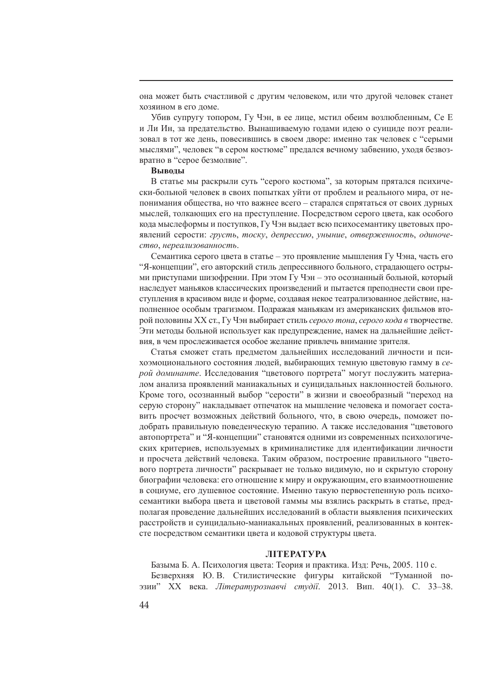она может быть счастливой с другим человеком, или что другой человек станет хозяином в его доме.

Убив супругу топором, Гу Чэн, в ее лице, мстил обеим возлюбленным, Се Е и Ли Ин, за предательство. Вынашиваемую годами идею о суициде поэт реализовал в тот же день, повесившись в своем дворе: именно так человек с "серыми мыслями", человек "в сером костюме" предался вечному забвению, уходя безвозвратно в "серое безмолвие".

### **Выводы**

В статье мы раскрыли суть "серого костюма", за которым прятался психически-больной человек в своих попытках уйти от проблем и реального мира, от непонимания общества, но что важнее всего – старался спрятаться от своих дурных мыслей, толкающих его на преступление. Посредством серого цвета, как особого кода мыслеформы и поступков, Гу Чэн выдает всю психосемантику цветовых проявлений серости: *грусть*, *тоску*, *депрессию*, *уныние*, *отверженность*, *одиночество*, *нереализованность*.

Семантика серого цвета в статье – это проявление мышления Гу Чэна, часть его "Я-концепции", его авторский стиль депрессивного больного, страдающего острыми приступами шизофрении. При этом Гу Чэн – это осознанный больной, который наследует маньяков классических произведений и пытается преподнести свои преступления в красивом виде и форме, создавая некое театрализованное действие, наполненное особым трагизмом. Подражая маньякам из американских фильмов второй половины ХХ ст., Гу Чэн выбирает стиль *серого тона*, *серого кода в* творчестве. Эти методы больной использует как предупреждение, намек на дальнейшие действия, в чем прослеживается особое желание привлечь внимание зрителя.

Статья сможет стать предметом дальнейших исследований личности и психоэмоционального состояния людей, выбирающих темную цветовую гамму в *серой доминанте*. Исследования "цветового портрета" могут послужить материалом анализа проявлений маниакальных и суицидальных наклонностей больного. Кроме того, осознанный выбор "серости" в жизни и своеобразный "переход на серую сторону" накладывает отпечаток на мышление человека и помогает составить просчет возможных действий больного, что, в свою очередь, поможет подобрать правильную поведенческую терапию. А также исследования "цветового автопортрета" и "Я-концепции" становятся одними из современных психологических критериев, используемых в криминалистике для идентификации личности и просчета действий человека. Таким образом, построение правильного "цветового портрета личности" раскрывает не только видимую, но и скрытую сторону биографии человека: его отношение к миру и окружающим, его взаимоотношение в социуме, его душевное состояние. Именно такую первостепенную роль психосемантики выбора цвета и цветовой гаммы мы взялись раскрыть в статье, предполагая проведение дальнейших исследований в области выявления психических расстройств и суицидально-маниакальных проявлений, реализованных в контексте посредством семантики цвета и кодовой структуры цвета.

### **ЛІТЕРАТУРА**

Базыма Б. А. Психология цвета: Теория и практика. Изд: Речь, 2005. 110 с.

Безверхняя Ю. В. Стилистические фигуры китайской "Туманной поэзии" XX века. *Літературознавчі студії*. 2013. Вип. 40(1). С. 33–38.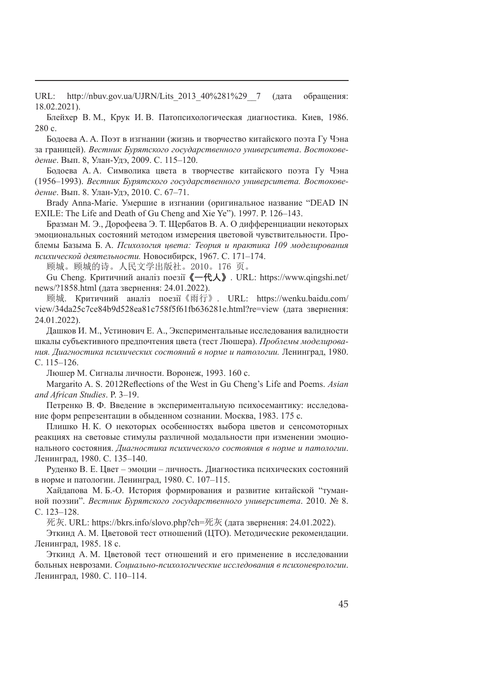URL: http://nbuv.gov.ua/UJRN/Lits\_2013\_40%281%29\_\_7 (дата обращения: 18.02.2021).

Блейхер В. М., Крук И. В. Патопсихологическая диагностика. Киев, 1986. 280 с.

Бодоева A. A. Поэт в изгнании (жизнь и творчество китайского поэта Гу Чэна за границей). *Вестник Бурятского государственного университета*. *Востоковедение*. Вып. 8, Улан-Удэ, 2009. С. 115–120.

Бодоева A. A. Символика цвета в творчестве китайского поэта Гу Чэна (1956–1993). *Вестник Бурятского государственного университета. Востоковедение*. Вып. 8. Улан-Удэ, 2010. С. 67–71.

Brady Anna-Marie. Умершие в изгнании (оригинальное название "DEAD IN EXILE: The Life and Death of Gu Cheng and Xie Ye"). 1997. P. 126–143.

Бразман М. Э., Дорофеева Э. Т. Щербатов В. А. О дифференциации некоторых эмоциональных состояний методом измерения цветовой чувствительности. Проблемы Базыма Б. А. *Психология цвета: Теория и практика 109 моделирования психической деятельности.* Новосибирск, 1967. С. 171–174.

顾城。顾城的诗。人民文学出版社。2010。176 页。

Gu Cheng. Критичний аналіз поезії**《一代人》**. URL: https://www.qingshi.net/ news/?1858.html (дата звернення: 24.01.2022).

顾城. Критичний аналіз поезії《雨行》. URL: https://wenku.baidu.com/ view/34da25c7ce84b9d528ea81c758f5f61fb636281e.html?re=view (дата звернення: 24.01.2022).

Дашков И. М., Устинович Е. А., Экспериментальные исследования валидности шкалы субъективного предпочтения цвета (тест Люшера). *Проблемы моделирования. Диагностика психических состояний в норме и патологии.* Ленинград, 1980. С. 115–126.

Люшер М. Сигналы личности. Воронеж, 1993. 160 с.

Margarito A. S. 2012Reflections of the West in Gu Cheng's Life and Poems. *Asian and African Studies*. P. 3–19.

Петренко В. Ф. Введение в экспериментальную психосемантику: исследование форм репрезентации в обыденном сознании. Москва, 1983. 175 с.

Плишко Н. К. О некоторых особенностях выбора цветов и сенсомоторных реакциях на световые стимулы различной модальности при изменении эмоционального состояния. *Диагностика психического состояния в норме и патологии*. Ленинград, 1980. С. 135–140.

Руденко В. Е. Цвет – эмоции – личность. Диагностика психических состояний в норме и патологии. Ленинград, 1980. С. 107–115.

Хайдапова М. Б.-О. История формирования и развитие китайской "туманной поэзии". *Вестник Бурятского государственного университета*. 2010. № 8. С. 123–128.

死灰. URL: https://bkrs.info/slovo.php?ch=死灰 (дата звернення: 24.01.2022).

Эткинд А. М. Цветовой тест отношений (ЦТО). Методические рекомендации. Ленинград, 1985. 18 с.

Эткинд А. М. Цветовой тест отношений и его применение в исследовании больных неврозами. *Социально-психологические исследования в психоневрологии*. Ленинград, 1980. С. 110–114.